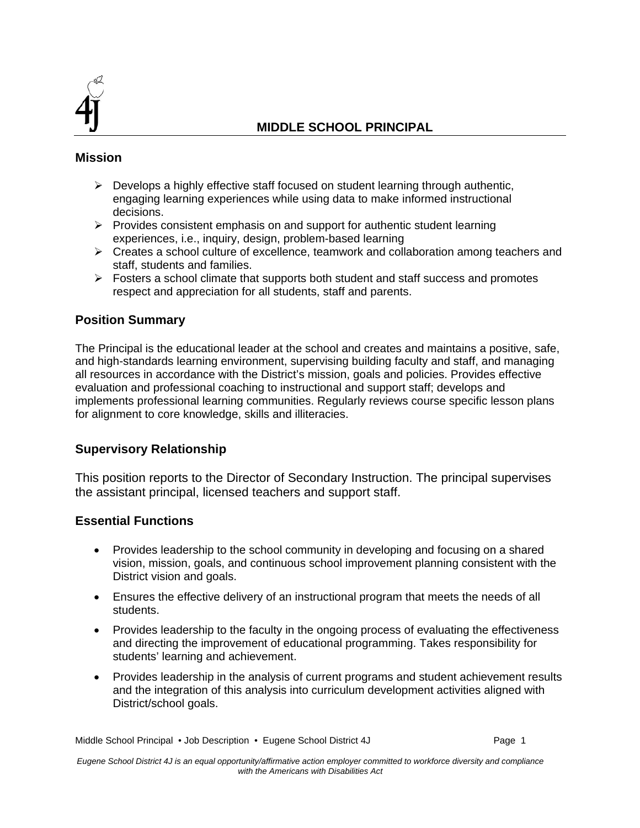

#### **Mission**

- $\triangleright$  Develops a highly effective staff focused on student learning through authentic, engaging learning experiences while using data to make informed instructional decisions.
- $\triangleright$  Provides consistent emphasis on and support for authentic student learning experiences, i.e., inquiry, design, problem-based learning
- $\triangleright$  Creates a school culture of excellence, teamwork and collaboration among teachers and staff, students and families.
- $\triangleright$  Fosters a school climate that supports both student and staff success and promotes respect and appreciation for all students, staff and parents.

# **Position Summary**

The Principal is the educational leader at the school and creates and maintains a positive, safe, and high-standards learning environment, supervising building faculty and staff, and managing all resources in accordance with the District's mission, goals and policies. Provides effective evaluation and professional coaching to instructional and support staff; develops and implements professional learning communities. Regularly reviews course specific lesson plans for alignment to core knowledge, skills and illiteracies.

# **Supervisory Relationship**

This position reports to the Director of Secondary Instruction. The principal supervises the assistant principal, licensed teachers and support staff.

#### **Essential Functions**

- Provides leadership to the school community in developing and focusing on a shared vision, mission, goals, and continuous school improvement planning consistent with the District vision and goals.
- Ensures the effective delivery of an instructional program that meets the needs of all students.
- Provides leadership to the faculty in the ongoing process of evaluating the effectiveness and directing the improvement of educational programming. Takes responsibility for students' learning and achievement.
- Provides leadership in the analysis of current programs and student achievement results and the integration of this analysis into curriculum development activities aligned with District/school goals.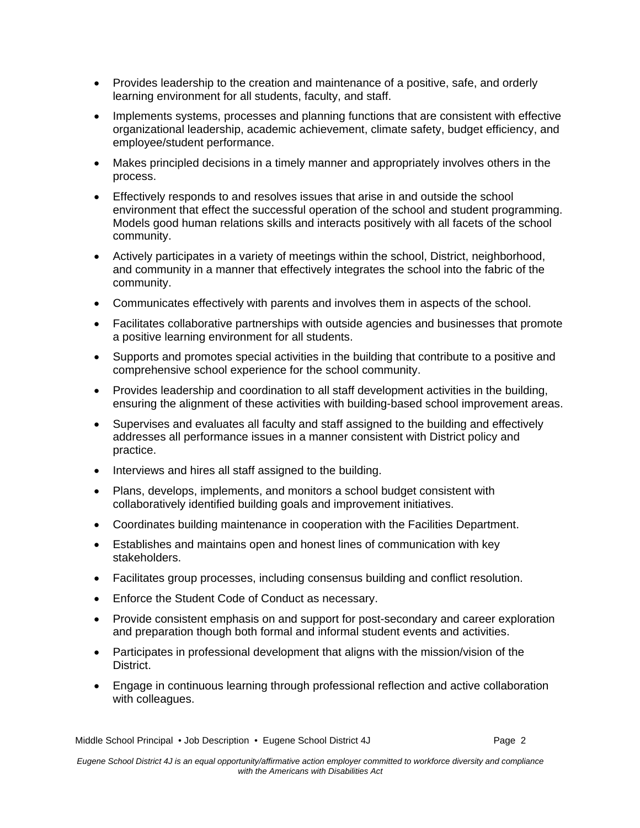- Provides leadership to the creation and maintenance of a positive, safe, and orderly learning environment for all students, faculty, and staff.
- Implements systems, processes and planning functions that are consistent with effective organizational leadership, academic achievement, climate safety, budget efficiency, and employee/student performance.
- Makes principled decisions in a timely manner and appropriately involves others in the process.
- Effectively responds to and resolves issues that arise in and outside the school environment that effect the successful operation of the school and student programming. Models good human relations skills and interacts positively with all facets of the school community.
- Actively participates in a variety of meetings within the school, District, neighborhood, and community in a manner that effectively integrates the school into the fabric of the community.
- Communicates effectively with parents and involves them in aspects of the school.
- Facilitates collaborative partnerships with outside agencies and businesses that promote a positive learning environment for all students.
- Supports and promotes special activities in the building that contribute to a positive and comprehensive school experience for the school community.
- Provides leadership and coordination to all staff development activities in the building, ensuring the alignment of these activities with building-based school improvement areas.
- Supervises and evaluates all faculty and staff assigned to the building and effectively addresses all performance issues in a manner consistent with District policy and practice.
- Interviews and hires all staff assigned to the building.
- Plans, develops, implements, and monitors a school budget consistent with collaboratively identified building goals and improvement initiatives.
- Coordinates building maintenance in cooperation with the Facilities Department.
- Establishes and maintains open and honest lines of communication with key stakeholders.
- Facilitates group processes, including consensus building and conflict resolution.
- Enforce the Student Code of Conduct as necessary.
- Provide consistent emphasis on and support for post-secondary and career exploration and preparation though both formal and informal student events and activities.
- Participates in professional development that aligns with the mission/vision of the District.
- Engage in continuous learning through professional reflection and active collaboration with colleagues.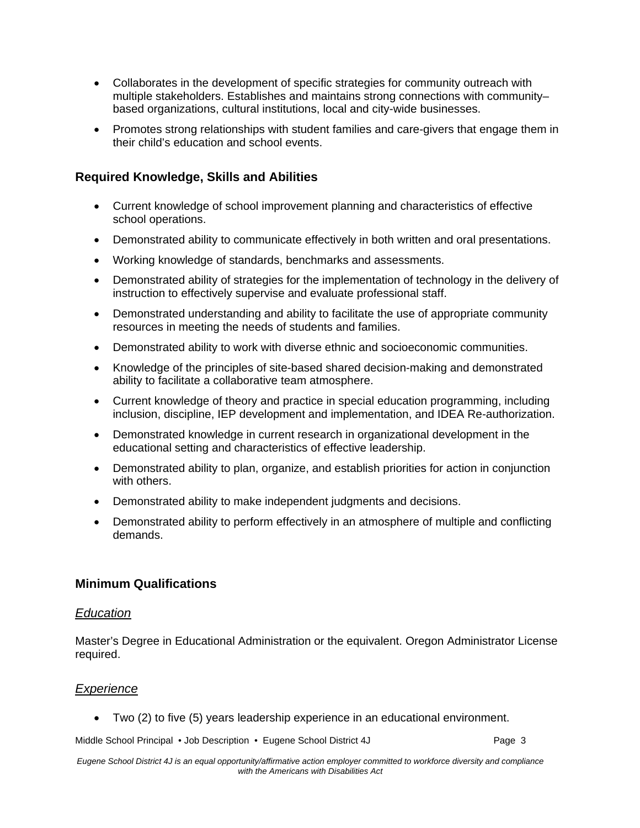- Collaborates in the development of specific strategies for community outreach with multiple stakeholders. Establishes and maintains strong connections with community– based organizations, cultural institutions, local and city-wide businesses.
- Promotes strong relationships with student families and care-givers that engage them in their child's education and school events.

# **Required Knowledge, Skills and Abilities**

- Current knowledge of school improvement planning and characteristics of effective school operations.
- Demonstrated ability to communicate effectively in both written and oral presentations.
- Working knowledge of standards, benchmarks and assessments.
- Demonstrated ability of strategies for the implementation of technology in the delivery of instruction to effectively supervise and evaluate professional staff.
- Demonstrated understanding and ability to facilitate the use of appropriate community resources in meeting the needs of students and families.
- Demonstrated ability to work with diverse ethnic and socioeconomic communities.
- Knowledge of the principles of site-based shared decision-making and demonstrated ability to facilitate a collaborative team atmosphere.
- Current knowledge of theory and practice in special education programming, including inclusion, discipline, IEP development and implementation, and IDEA Re-authorization.
- Demonstrated knowledge in current research in organizational development in the educational setting and characteristics of effective leadership.
- Demonstrated ability to plan, organize, and establish priorities for action in conjunction with others.
- Demonstrated ability to make independent judgments and decisions.
- Demonstrated ability to perform effectively in an atmosphere of multiple and conflicting demands.

# **Minimum Qualifications**

#### *Education*

Master's Degree in Educational Administration or the equivalent. Oregon Administrator License required.

# *Experience*

Two (2) to five (5) years leadership experience in an educational environment.

Middle School Principal • Job Description • Eugene School District 4J Page 3

*Eugene School District 4J is an equal opportunity/affirmative action employer committed to workforce diversity and compliance with the Americans with Disabilities Act*